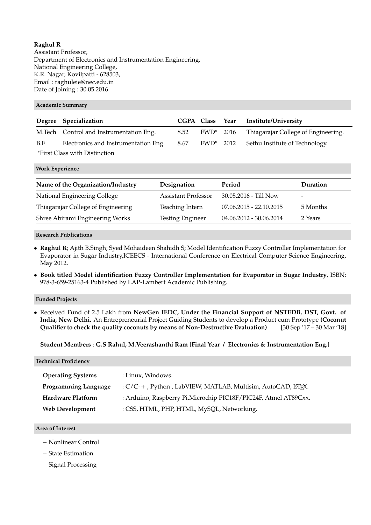# **Raghul R**

Assistant Professor, Department of Electronics and Instrumentation Engineering, National Engineering College, K.R. Nagar, Kovilpatti - 628503, Email : raghuleie@nec.edu.in Date of Joining : 30.05.2016

### **Academic Summary**

|                  | Degree Specialization                    |      |           | CGPA Class Year Institute/University                 |
|------------------|------------------------------------------|------|-----------|------------------------------------------------------|
|                  | M. Tech Control and Instrumentation Eng. | 8.52 | FWD* 2016 | Thiagarajar College of Engineering.                  |
| B.E              | Electronics and Instrumentation Eng.     | 8.67 |           | FWD <sup>*</sup> 2012 Sethu Institute of Technology. |
| $LT$ $\sim$ $C1$ | $\cdots$                                 |      |           |                                                      |

\*First Class with Distinction

**Work Experience**

| Name of the Organization/Industry  | Designation                | Period                    | Duration |
|------------------------------------|----------------------------|---------------------------|----------|
| National Engineering College       | <b>Assistant Professor</b> | $30.05.2016 - Till Now$   | -        |
| Thiagarajar College of Engineering | Teaching Intern            | $07.06.2015 - 22.10.2015$ | 5 Months |
| Shree Abirami Engineering Works    | <b>Testing Engineer</b>    | 04.06.2012 - 30.06.2014   | 2 Years  |

### **Research Publications**

- **Raghul R**; Ajith B.Singh; Syed Mohaideen Shahidh S; Model Identification Fuzzy Controller Implementation for Evaporator in Sugar Industry,ICEECS - International Conference on Electrical Computer Science Engineering, May 2012.
- **Book titled Model identification Fuzzy Controller Implementation for Evaporator in Sugar Industry**, ISBN: 978-3-659-25163-4 Published by LAP-Lambert Academic Publishing.

#### **Funded Projects**

• Received Fund of 2.5 Lakh from **NewGen IEDC, Under the Financial Support of NSTEDB, DST, Govt. of India, New Delhi.** An Entrepreneurial Project Guiding Students to develop a Product cum Prototype **(Coconut Qualifier to check the quality coconuts by means of Non-Destructive Evaluation)** [30 Sep '17 – 30 Mar '18]

**Student Members** : **G.S Rahul, M.Veerashanthi Ram [Final Year / Electronics & Instrumentation Eng.]**

**Technical Proficiency**

| <b>Operating Systems</b>    | : Linux, Windows.                                                |  |
|-----------------------------|------------------------------------------------------------------|--|
| <b>Programming Language</b> | : C/C++, Python, LabVIEW, MATLAB, Multisim, AutoCAD, LATEX.      |  |
| <b>Hardware Platform</b>    | : Arduino, Raspberry Pi, Microchip PIC18F/PIC24F, Atmel AT89Cxx. |  |
| <b>Web Development</b>      | : CSS, HTML, PHP, HTML, MySQL, Networking.                       |  |

### **Area of Interest**

- − Nonlinear Control
- − State Estimation
- − Signal Processing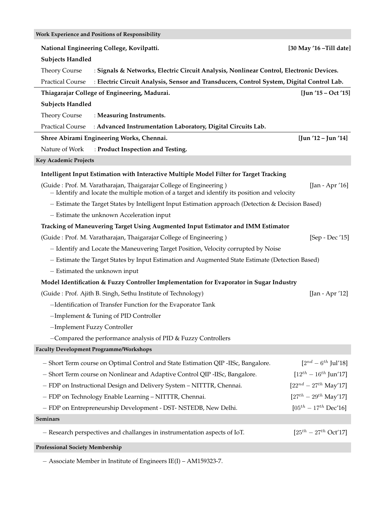| Work Experience and Positions of Responsibility                                                                                                                                       |                                                                                                    |                                       |  |  |  |  |  |
|---------------------------------------------------------------------------------------------------------------------------------------------------------------------------------------|----------------------------------------------------------------------------------------------------|---------------------------------------|--|--|--|--|--|
| National Engineering College, Kovilpatti.<br>[30 May '16 - Till date]                                                                                                                 |                                                                                                    |                                       |  |  |  |  |  |
| <b>Subjects Handled</b>                                                                                                                                                               |                                                                                                    |                                       |  |  |  |  |  |
| <b>Theory Course</b>                                                                                                                                                                  | : Signals & Networks, Electric Circuit Analysis, Nonlinear Control, Electronic Devices.            |                                       |  |  |  |  |  |
| <b>Practical Course</b>                                                                                                                                                               | : Electric Circuit Analysis, Sensor and Transducers, Control System, Digital Control Lab.          |                                       |  |  |  |  |  |
| Thiagarajar College of Engineering, Madurai.<br>$[$ Jun '15 – Oct '15 $]$                                                                                                             |                                                                                                    |                                       |  |  |  |  |  |
| <b>Subjects Handled</b>                                                                                                                                                               |                                                                                                    |                                       |  |  |  |  |  |
| <b>Theory Course</b>                                                                                                                                                                  | : Measuring Instruments.                                                                           |                                       |  |  |  |  |  |
| <b>Practical Course</b>                                                                                                                                                               | : Advanced Instrumentation Laboratory, Digital Circuits Lab.                                       |                                       |  |  |  |  |  |
|                                                                                                                                                                                       | Shree Abirami Engineering Works, Chennai.                                                          | $[$ Jun '12 – Jun '14]                |  |  |  |  |  |
| Nature of Work                                                                                                                                                                        | : Product Inspection and Testing.                                                                  |                                       |  |  |  |  |  |
| <b>Key Academic Projects</b>                                                                                                                                                          |                                                                                                    |                                       |  |  |  |  |  |
|                                                                                                                                                                                       | Intelligent Input Estimation with Interactive Multiple Model Filter for Target Tracking            |                                       |  |  |  |  |  |
| (Guide: Prof. M. Varatharajan, Thaigarajar College of Engineering)<br>[Jan - Apr '16]<br>- Identify and locate the multiple motion of a target and identify its position and velocity |                                                                                                    |                                       |  |  |  |  |  |
|                                                                                                                                                                                       | - Estimate the Target States by Intelligent Input Estimation approach (Detection & Decision Based) |                                       |  |  |  |  |  |
|                                                                                                                                                                                       | - Estimate the unknown Acceleration input                                                          |                                       |  |  |  |  |  |
|                                                                                                                                                                                       | Tracking of Maneuvering Target Using Augmented Input Estimator and IMM Estimator                   |                                       |  |  |  |  |  |
|                                                                                                                                                                                       | (Guide: Prof. M. Varatharajan, Thaigarajar College of Engineering)                                 | [Sep - Dec '15]                       |  |  |  |  |  |
|                                                                                                                                                                                       | - Identify and Locate the Maneuvering Target Position, Velocity corrupted by Noise                 |                                       |  |  |  |  |  |
| - Estimate the Target States by Input Estimation and Augmented State Estimate (Detection Based)                                                                                       |                                                                                                    |                                       |  |  |  |  |  |
| - Estimated the unknown input                                                                                                                                                         |                                                                                                    |                                       |  |  |  |  |  |
|                                                                                                                                                                                       | Model Identification & Fuzzy Controller Implementation for Evaporator in Sugar Industry            |                                       |  |  |  |  |  |
|                                                                                                                                                                                       | (Guide: Prof. Ajith B. Singh, Sethu Institute of Technology)                                       | [Jan - Apr '12]                       |  |  |  |  |  |
|                                                                                                                                                                                       | -Identification of Transfer Function for the Evaporator Tank                                       |                                       |  |  |  |  |  |
| -Implement & Tuning of PID Controller                                                                                                                                                 |                                                                                                    |                                       |  |  |  |  |  |
| -Implement Fuzzy Controller                                                                                                                                                           |                                                                                                    |                                       |  |  |  |  |  |
|                                                                                                                                                                                       | -Compared the performance analysis of PID & Fuzzy Controllers                                      |                                       |  |  |  |  |  |
| <b>Faculty Development Programme/Workshops</b>                                                                                                                                        |                                                                                                    |                                       |  |  |  |  |  |
|                                                                                                                                                                                       | - Short Term course on Optimal Control and State Estimation QIP -IISc, Bangalore.                  | $[2^{nd} - 6^{th} \text{ Jul}' 18]$   |  |  |  |  |  |
|                                                                                                                                                                                       | - Short Term course on Nonlinear and Adaptive Control QIP -IISc, Bangalore.                        | $[12^{th} - 16^{th} ]$ un'17]         |  |  |  |  |  |
| - FDP on Instructional Design and Delivery System - NITTTR, Chennai.                                                                                                                  | $[22^{nd} - 27^{th}$ May'17]                                                                       |                                       |  |  |  |  |  |
| - FDP on Technology Enable Learning - NITTTR, Chennai.                                                                                                                                | $[27^{th} - 29^{th}$ May'17]                                                                       |                                       |  |  |  |  |  |
|                                                                                                                                                                                       | - FDP on Entrepreneurship Development - DST- NSTEDB, New Delhi.                                    | $[05^{th} - 17^{th}$ Dec'16]          |  |  |  |  |  |
| <b>Seminars</b>                                                                                                                                                                       |                                                                                                    |                                       |  |  |  |  |  |
|                                                                                                                                                                                       | - Research perspectives and challanges in instrumentation aspects of IoT.                          | $[25^{th} - 27^{th} \text{ Oct}' 17]$ |  |  |  |  |  |

− Associate Member in Institute of Engineers IE(I) – AM159323-7.

**Professional Society Membership**